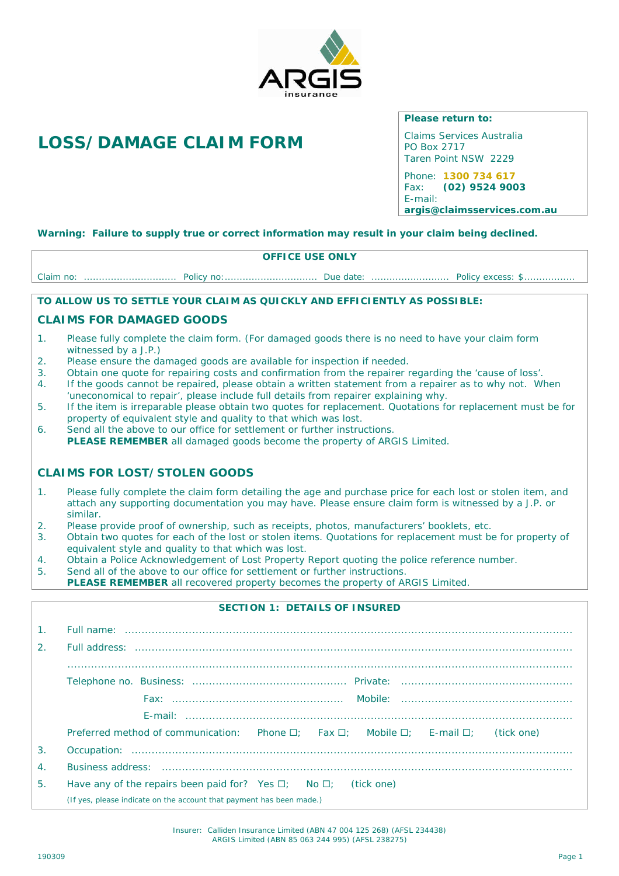

# *LOSS/DAMAGE CLAIM FORM*

*Please return to: Claims Services Australia PO Box 2717 Taren Point NSW 2229*

*Phone: 1300 734 617 Fax: (02) 9524 9003 E-mail: argis@claimsservices.com.au*

*Warning: Failure to supply true or correct information may result in your claim being declined.*

## **OFFICE USE ONLY**

Claim no: ............................... Policy no:............................... Due date: .......................... Policy excess: \$.................

*TO ALLOW US TO SETTLE YOUR CLAIM AS QUICKLY AND EFFICIENTLY AS POSSIBLE:*

## **CLAIMS FOR DAMAGED GOODS**

- 1. Please fully complete the claim form. (For damaged goods there is no need to have your claim form witnessed by a J.P.)
- 2. Please ensure the damaged goods are available for inspection if needed.
- 3. Obtain one quote for repairing costs and confirmation from the repairer regarding the 'cause of loss'.
- 4. If the goods cannot be repaired, please obtain a written statement from a repairer as to why not. When 'uneconomical to repair', please include full details from repairer explaining why.
- 5. If the item is irreparable please obtain two quotes for replacement. Quotations for replacement must be for property of equivalent style and quality to that which was lost.
- 6. Send all the above to our office for settlement or further instructions. *PLEASE REMEMBER* all damaged goods become the property of ARGIS Limited.

## **CLAIMS FOR LOST/STOLEN GOODS**

- 1. Please fully complete the claim form detailing the age and purchase price for each lost or stolen item, and attach any supporting documentation you may have. Please ensure claim form is witnessed by a J.P. or similar.
- 2. Please provide proof of ownership, such as receipts, photos, manufacturers' booklets, etc.
- 3. Obtain two quotes for each of the lost or stolen items. Quotations for replacement must be for property of equivalent style and quality to that which was lost.
- 4. Obtain a *Police Acknowledgement of Lost Property Report* quoting the police reference number.
- 5. Send all of the above to our office for settlement or further instructions.
- *PLEASE REMEMBER* all recovered property becomes the property of ARGIS Limited.

| SECTION 1: DETAILS OF INSURED |                                                                                                           |  |  |  |  |  |  |
|-------------------------------|-----------------------------------------------------------------------------------------------------------|--|--|--|--|--|--|
| 1 <sub>1</sub>                |                                                                                                           |  |  |  |  |  |  |
| 2 <sub>1</sub>                |                                                                                                           |  |  |  |  |  |  |
|                               |                                                                                                           |  |  |  |  |  |  |
|                               |                                                                                                           |  |  |  |  |  |  |
|                               |                                                                                                           |  |  |  |  |  |  |
|                               |                                                                                                           |  |  |  |  |  |  |
|                               | Preferred method of communication: Phone $\Box$ ; Fax $\Box$ ; Mobile $\Box$ ; E-mail $\Box$ ; (tick one) |  |  |  |  |  |  |
| 3.                            |                                                                                                           |  |  |  |  |  |  |
| 4.                            |                                                                                                           |  |  |  |  |  |  |
| 5.                            | Have any of the repairs been paid for? Yes $\Box$ ; No $\Box$ ; (tick one)                                |  |  |  |  |  |  |
|                               | (If yes, please indicate on the account that payment has been made.)                                      |  |  |  |  |  |  |

Insurer: Calliden Insurance Limited (ABN 47 004 125 268) (AFSL 234438) ARGIS Limited (ABN 85 063 244 995) (AFSL 238275)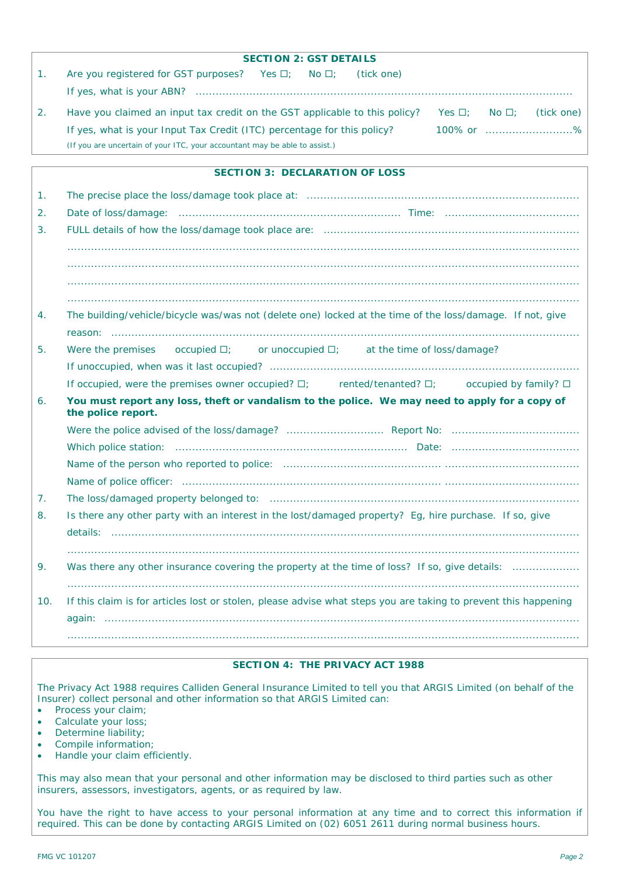|                | <b>SECTION 2: GST DETAILS</b>                                                                                        |  |  |  |  |  |  |  |
|----------------|----------------------------------------------------------------------------------------------------------------------|--|--|--|--|--|--|--|
| 1 <sub>1</sub> | Are you registered for GST purposes? Yes □; No □;<br>(tick one)                                                      |  |  |  |  |  |  |  |
|                |                                                                                                                      |  |  |  |  |  |  |  |
| 2.             | Have you claimed an input tax credit on the GST applicable to this policy?<br>Yes $\Box$ ; No $\Box$ ; (tick one)    |  |  |  |  |  |  |  |
|                | 100% or %<br>If yes, what is your Input Tax Credit (ITC) percentage for this policy?                                 |  |  |  |  |  |  |  |
|                | (If you are uncertain of your ITC, your accountant may be able to assist.)                                           |  |  |  |  |  |  |  |
|                |                                                                                                                      |  |  |  |  |  |  |  |
|                | SECTION 3: DECLARATION OF LOSS                                                                                       |  |  |  |  |  |  |  |
| 1.             |                                                                                                                      |  |  |  |  |  |  |  |
| 2.             |                                                                                                                      |  |  |  |  |  |  |  |
| 3.             |                                                                                                                      |  |  |  |  |  |  |  |
|                |                                                                                                                      |  |  |  |  |  |  |  |
|                |                                                                                                                      |  |  |  |  |  |  |  |
|                |                                                                                                                      |  |  |  |  |  |  |  |
|                |                                                                                                                      |  |  |  |  |  |  |  |
| 4.             | The building/vehicle/bicycle was/was not (delete one) locked at the time of the loss/damage. If not, give            |  |  |  |  |  |  |  |
|                |                                                                                                                      |  |  |  |  |  |  |  |
| 5.             | Were the premises $\circ$ occupied $\Box$ ; $\circ$ or unoccupied $\Box$ ; at the time of loss/damage?               |  |  |  |  |  |  |  |
|                |                                                                                                                      |  |  |  |  |  |  |  |
|                | If occupied, were the premises owner occupied? $\square$ ; ented/tenanted? $\square$ ; occupied by family? $\square$ |  |  |  |  |  |  |  |
| 6.             | You must report any loss, theft or vandalism to the police. We may need to apply for a copy of<br>the police report. |  |  |  |  |  |  |  |
|                |                                                                                                                      |  |  |  |  |  |  |  |
|                |                                                                                                                      |  |  |  |  |  |  |  |
|                |                                                                                                                      |  |  |  |  |  |  |  |
|                |                                                                                                                      |  |  |  |  |  |  |  |
| 7.             |                                                                                                                      |  |  |  |  |  |  |  |
| 8.             | Is there any other party with an interest in the lost/damaged property? Eg, hire purchase. If so, give               |  |  |  |  |  |  |  |
|                | details:                                                                                                             |  |  |  |  |  |  |  |
|                |                                                                                                                      |  |  |  |  |  |  |  |
| 9.             | Was there any other insurance covering the property at the time of loss? If so, give details:                        |  |  |  |  |  |  |  |
| 10.            | If this claim is for articles lost or stolen, please advise what steps you are taking to prevent this happening      |  |  |  |  |  |  |  |

## **SECTION 4: THE PRIVACY ACT 1988**

The Privacy Act 1988 requires Calliden General Insurance Limited to tell you that ARGIS Limited (on behalf of the Insurer) collect personal and other information so that ARGIS Limited can:

- Process your claim;
- Calculate your loss;
- Determine liability;
- Compile information;
- Handle your claim efficiently.

This may also mean that your personal and other information may be disclosed to third parties such as other insurers, assessors, investigators, agents, or as required by law.

You have the right to have access to your personal information at any time and to correct this information if required. This can be done by contacting ARGIS Limited on (02) 6051 2611 during normal business hours.